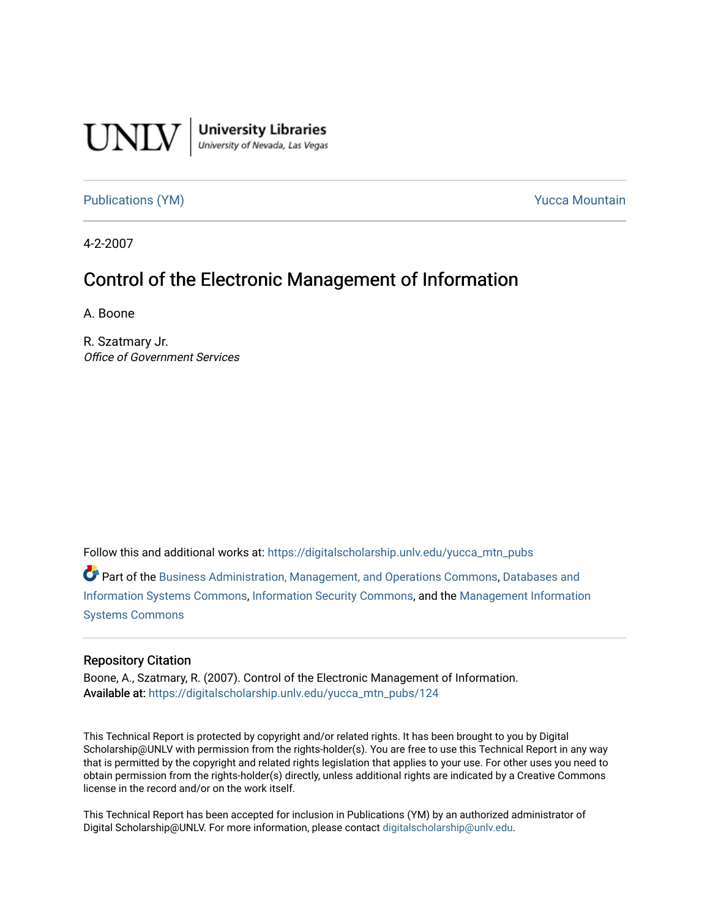

University Libraries<br>University of Nevada, Las Vegas

[Publications \(YM\)](https://digitalscholarship.unlv.edu/yucca_mtn_pubs) **Publications** (YM) **Publications** (YM)

4-2-2007

# Control of the Electronic Management of Information

A. Boone

R. Szatmary Jr. Office of Government Services

Follow this and additional works at: [https://digitalscholarship.unlv.edu/yucca\\_mtn\\_pubs](https://digitalscholarship.unlv.edu/yucca_mtn_pubs?utm_source=digitalscholarship.unlv.edu%2Fyucca_mtn_pubs%2F124&utm_medium=PDF&utm_campaign=PDFCoverPages)

Part of the [Business Administration, Management, and Operations Commons](http://network.bepress.com/hgg/discipline/623?utm_source=digitalscholarship.unlv.edu%2Fyucca_mtn_pubs%2F124&utm_medium=PDF&utm_campaign=PDFCoverPages), [Databases and](http://network.bepress.com/hgg/discipline/145?utm_source=digitalscholarship.unlv.edu%2Fyucca_mtn_pubs%2F124&utm_medium=PDF&utm_campaign=PDFCoverPages) [Information Systems Commons](http://network.bepress.com/hgg/discipline/145?utm_source=digitalscholarship.unlv.edu%2Fyucca_mtn_pubs%2F124&utm_medium=PDF&utm_campaign=PDFCoverPages), [Information Security Commons](http://network.bepress.com/hgg/discipline/1247?utm_source=digitalscholarship.unlv.edu%2Fyucca_mtn_pubs%2F124&utm_medium=PDF&utm_campaign=PDFCoverPages), and the [Management Information](http://network.bepress.com/hgg/discipline/636?utm_source=digitalscholarship.unlv.edu%2Fyucca_mtn_pubs%2F124&utm_medium=PDF&utm_campaign=PDFCoverPages)  [Systems Commons](http://network.bepress.com/hgg/discipline/636?utm_source=digitalscholarship.unlv.edu%2Fyucca_mtn_pubs%2F124&utm_medium=PDF&utm_campaign=PDFCoverPages) 

#### Repository Citation

Boone, A., Szatmary, R. (2007). Control of the Electronic Management of Information. Available at: [https://digitalscholarship.unlv.edu/yucca\\_mtn\\_pubs/124](https://digitalscholarship.unlv.edu/yucca_mtn_pubs/124) 

This Technical Report is protected by copyright and/or related rights. It has been brought to you by Digital Scholarship@UNLV with permission from the rights-holder(s). You are free to use this Technical Report in any way that is permitted by the copyright and related rights legislation that applies to your use. For other uses you need to obtain permission from the rights-holder(s) directly, unless additional rights are indicated by a Creative Commons license in the record and/or on the work itself.

This Technical Report has been accepted for inclusion in Publications (YM) by an authorized administrator of Digital Scholarship@UNLV. For more information, please contact [digitalscholarship@unlv.edu](mailto:digitalscholarship@unlv.edu).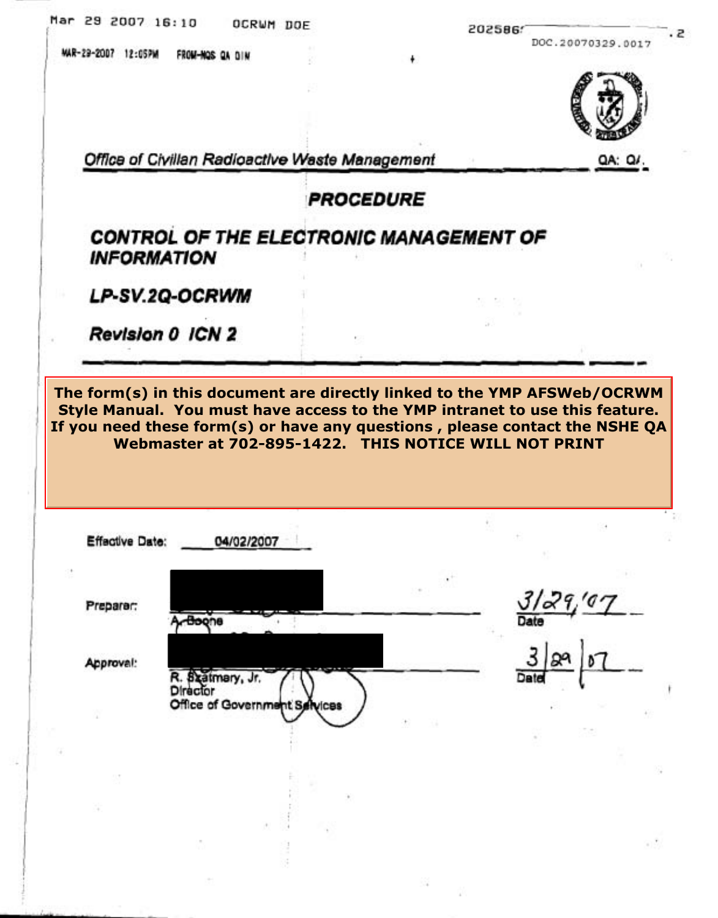| MAR-29-2007 12:05PM                 | FROM-NOS OA DIN               | ۰                                                                                                                                                                                                                                                                                               | DOC.20070329.0017 |
|-------------------------------------|-------------------------------|-------------------------------------------------------------------------------------------------------------------------------------------------------------------------------------------------------------------------------------------------------------------------------------------------|-------------------|
|                                     |                               |                                                                                                                                                                                                                                                                                                 |                   |
|                                     |                               |                                                                                                                                                                                                                                                                                                 |                   |
|                                     |                               |                                                                                                                                                                                                                                                                                                 |                   |
|                                     |                               |                                                                                                                                                                                                                                                                                                 |                   |
|                                     |                               | Office of Civillan Radioactive Waste Management                                                                                                                                                                                                                                                 | QA: Q             |
|                                     |                               | PROCEDURE                                                                                                                                                                                                                                                                                       |                   |
|                                     |                               | CONTROL OF THE ELECTRONIC MANAGEMENT OF                                                                                                                                                                                                                                                         |                   |
| <b>INFORMATION</b>                  |                               |                                                                                                                                                                                                                                                                                                 |                   |
| LP-SV.2Q-OCRWM                      |                               |                                                                                                                                                                                                                                                                                                 |                   |
|                                     |                               |                                                                                                                                                                                                                                                                                                 |                   |
| Revision 0 ICN 2                    |                               |                                                                                                                                                                                                                                                                                                 |                   |
|                                     |                               |                                                                                                                                                                                                                                                                                                 |                   |
|                                     |                               | The form(s) in this document are directly linked to the YMP AFSWeb/OCRWM<br>Style Manual. You must have access to the YMP intranet to use this feature.<br>If you need these form(s) or have any questions, please contact the NSHE QA<br>Webmaster at 702-895-1422. THIS NOTICE WILL NOT PRINT |                   |
|                                     |                               |                                                                                                                                                                                                                                                                                                 |                   |
|                                     | 04/02/2007                    |                                                                                                                                                                                                                                                                                                 |                   |
|                                     |                               |                                                                                                                                                                                                                                                                                                 |                   |
|                                     |                               |                                                                                                                                                                                                                                                                                                 | 3129/97           |
| <b>Effective Date:</b><br>Preparer: | Boone                         |                                                                                                                                                                                                                                                                                                 |                   |
|                                     |                               |                                                                                                                                                                                                                                                                                                 |                   |
| Approval:                           | R. Szatmary, Jr.<br>Director  |                                                                                                                                                                                                                                                                                                 |                   |
|                                     | Office of Government Selvices |                                                                                                                                                                                                                                                                                                 |                   |
|                                     |                               |                                                                                                                                                                                                                                                                                                 |                   |
|                                     |                               |                                                                                                                                                                                                                                                                                                 |                   |
|                                     |                               |                                                                                                                                                                                                                                                                                                 |                   |
|                                     |                               |                                                                                                                                                                                                                                                                                                 |                   |
|                                     |                               |                                                                                                                                                                                                                                                                                                 |                   |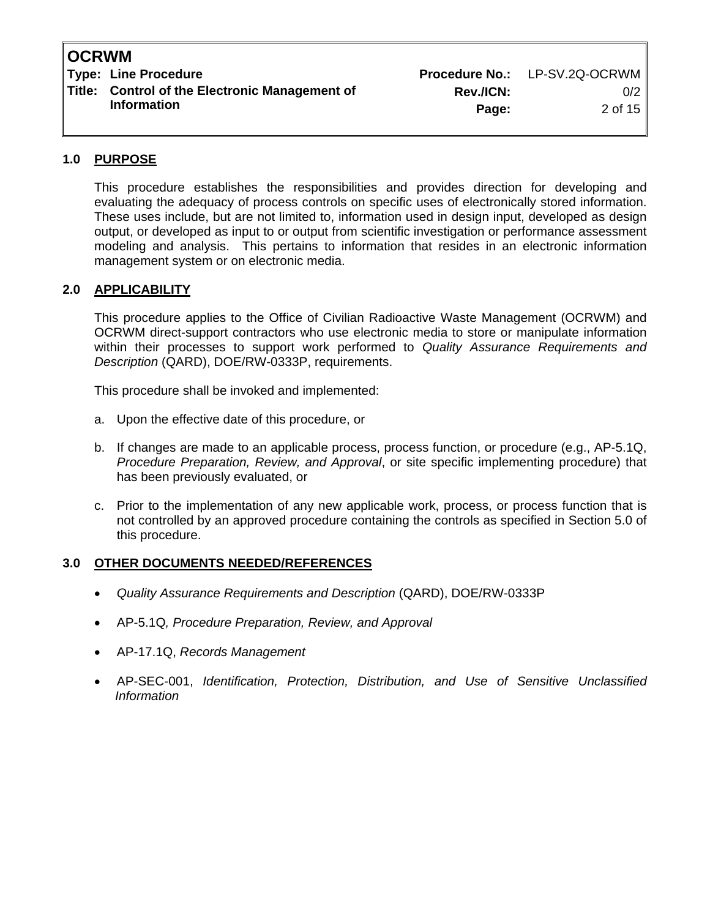**Type: Line Procedure No.: LP-SV.2Q-OCRWM Title: Control of the Electronic Management of Rev./ICN:** 0/2<br>Information **Degay** 2.05.15

**Information Page:** 2 of 15

# **1.0 PURPOSE**

This procedure establishes the responsibilities and provides direction for developing and evaluating the adequacy of process controls on specific uses of electronically stored information. These uses include, but are not limited to, information used in design input, developed as design output, or developed as input to or output from scientific investigation or performance assessment modeling and analysis. This pertains to information that resides in an electronic information management system or on electronic media.

## **2.0 APPLICABILITY**

This procedure applies to the Office of Civilian Radioactive Waste Management (OCRWM) and OCRWM direct-support contractors who use electronic media to store or manipulate information within their processes to support work performed to *Quality Assurance Requirements and Description* (QARD), DOE/RW-0333P, requirements.

This procedure shall be invoked and implemented:

- a. Upon the effective date of this procedure, or
- b. If changes are made to an applicable process, process function, or procedure (e.g., AP-5.1Q, *Procedure Preparation, Review, and Approval*, or site specific implementing procedure) that has been previously evaluated, or
- c. Prior to the implementation of any new applicable work, process, or process function that is not controlled by an approved procedure containing the controls as specified in Section 5.0 of this procedure.

## **3.0 OTHER DOCUMENTS NEEDED/REFERENCES**

- *Quality Assurance Requirements and Description* (QARD), DOE/RW-0333P
- AP-5.1Q*, Procedure Preparation, Review, and Approval*
- AP-17.1Q, *Records Management*
- AP-SEC-001, *Identification, Protection, Distribution, and Use of Sensitive Unclassified Information*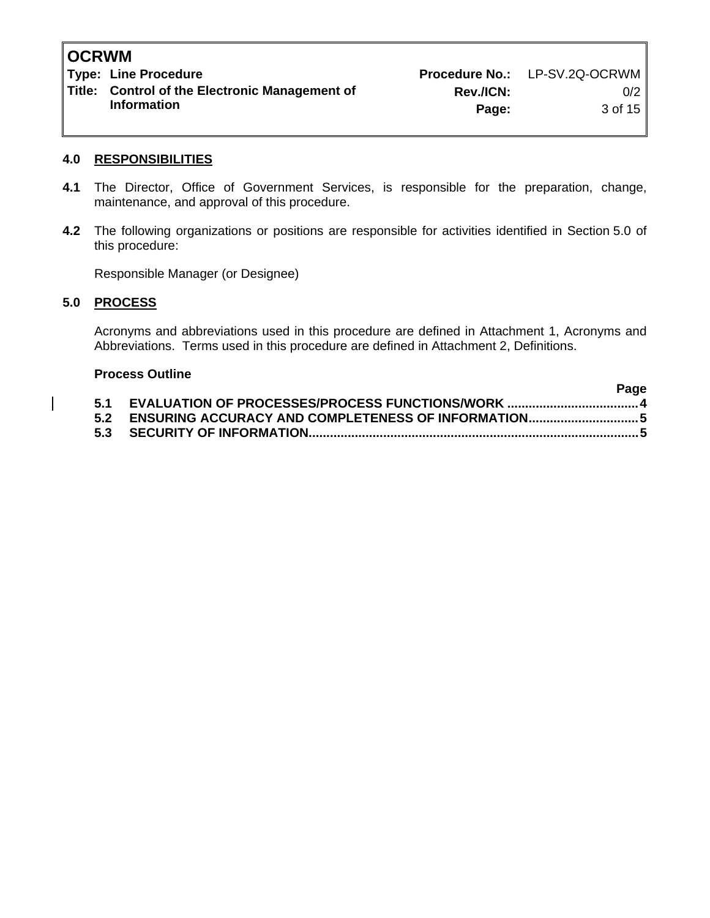**Type: Line Procedure No.: LP-SV.2Q-OCRWM Title: Control of the Electronic Management of Rev./ICN:** 0/2<br>Information **Dage:** 2.of 15

**Information 2.1 of 15 and 2.1 of 15 and 2.1 of 15 and 2.1 of 15 and 2.1 of 15 and 2.1 of 15 and 2.1 of 15 and 2.1 of 15 and 2.1 of 15 and 2.1 of 15 and 2.1 of 15 and 2.1 of 15 and 2.1 of 15 and 2.1 of 15 and 2.1 of 15 and** 

## **4.0 RESPONSIBILITIES**

- **4.1** The Director, Office of Government Services, is responsible for the preparation, change, maintenance, and approval of this procedure.
- **4.2** The following organizations or positions are responsible for activities identified in Section 5.0 of this procedure:

Responsible Manager (or Designee)

# **5.0 PROCESS**

Acronyms and abbreviations used in this procedure are defined in Attachment 1, Acronyms and Abbreviations. Terms used in this procedure are defined in Attachment 2, Definitions.

| <b>Process Outline</b> |  |      |  |  |
|------------------------|--|------|--|--|
|                        |  | Page |  |  |
|                        |  |      |  |  |
|                        |  |      |  |  |
|                        |  |      |  |  |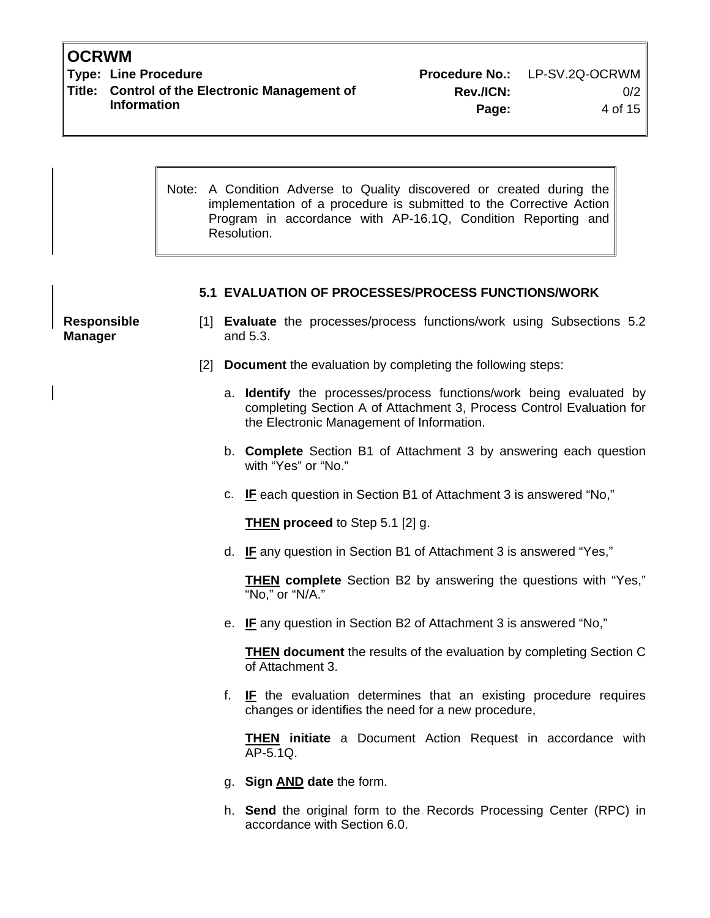**Type: Line Procedure Procedure No.:** LP-SV.2Q-OCRWM Title: Control of the Electronic Management of Rev./ICN: 0/2<br>Information **Derew Rev.** 

**Information 1996 Page:** 4 of 15

Note: A Condition Adverse to Quality discovered or created during the implementation of a procedure is submitted to the Corrective Action Program in accordance with AP-16.1Q, Condition Reporting and Resolution.

## **5.1 EVALUATION OF PROCESSES/PROCESS FUNCTIONS/WORK**

**Responsible Manager** 

- [1] **Evaluate** the processes/process functions/work using Subsections 5.2 and 5.3.
- [2] **Document** the evaluation by completing the following steps:
	- a. **Identify** the processes/process functions/work being evaluated by completing Section A of Attachment 3, Process Control Evaluation for the Electronic Management of Information.
	- b. **Complete** Section B1 of Attachment 3 by answering each question with "Yes" or "No."
	- c. **IF** each question in Section B1 of Attachment 3 is answered "No,"

**THEN proceed** to Step 5.1 [2] g.

d. **IF** any question in Section B1 of Attachment 3 is answered "Yes,"

**THEN complete** Section B2 by answering the questions with "Yes," "No," or "N/A."

e. **IF** any question in Section B2 of Attachment 3 is answered "No,"

**THEN document** the results of the evaluation by completing Section C of Attachment 3.

f. **IF** the evaluation determines that an existing procedure requires changes or identifies the need for a new procedure,

**THEN initiate** a Document Action Request in accordance with AP-5.1Q.

- g. **Sign AND date** the form.
- h. **Send** the original form to the Records Processing Center (RPC) in accordance with Section 6.0.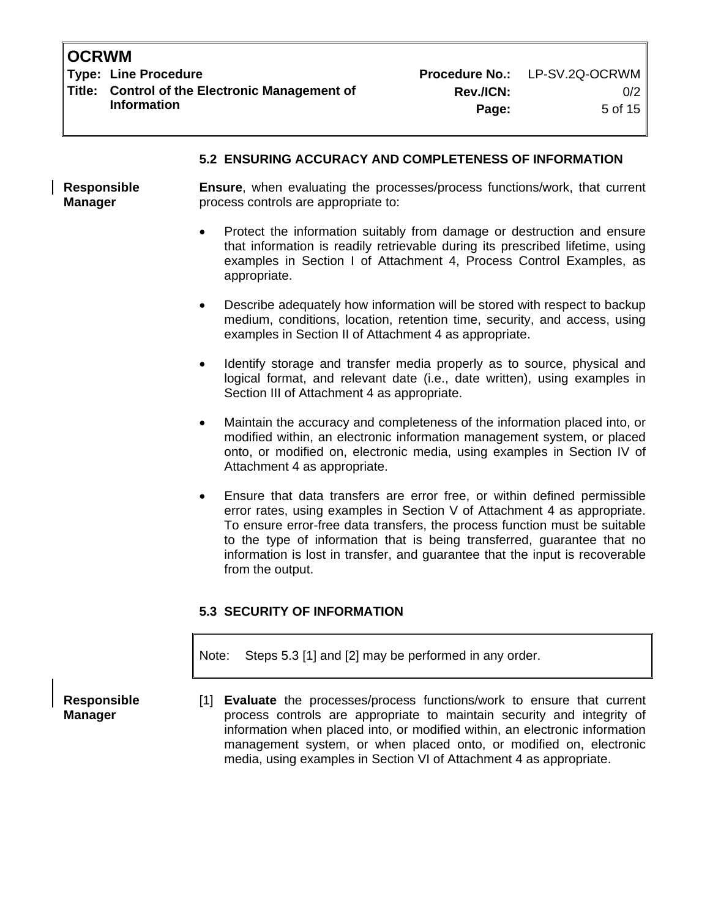**Type: Line Procedure No.: LP-SV.2Q-OCRWM Title: Control of the Electronic Management of Rev./ICN:** 0/2

**Information 12.1 Contract of the Contract of the Page:** 5 of 15

## **5.2 ENSURING ACCURACY AND COMPLETENESS OF INFORMATION**

**Ensure**, when evaluating the processes/process functions/work, that current process controls are appropriate to: **Responsible Manager** 

- Protect the information suitably from damage or destruction and ensure that information is readily retrievable during its prescribed lifetime, using examples in Section I of Attachment 4, Process Control Examples, as appropriate.
- Describe adequately how information will be stored with respect to backup medium, conditions, location, retention time, security, and access, using examples in Section II of Attachment 4 as appropriate.
- Identify storage and transfer media properly as to source, physical and logical format, and relevant date (i.e., date written), using examples in Section III of Attachment 4 as appropriate.
- Maintain the accuracy and completeness of the information placed into, or modified within, an electronic information management system, or placed onto, or modified on, electronic media, using examples in Section IV of Attachment 4 as appropriate.
- Ensure that data transfers are error free, or within defined permissible error rates, using examples in Section V of Attachment 4 as appropriate. To ensure error-free data transfers, the process function must be suitable to the type of information that is being transferred, guarantee that no information is lost in transfer, and guarantee that the input is recoverable from the output.

# **5.3 SECURITY OF INFORMATION**

Note: Steps 5.3 [1] and [2] may be performed in any order.

**Responsible Manager** 

[1] **Evaluate** the processes/process functions/work to ensure that current process controls are appropriate to maintain security and integrity of information when placed into, or modified within, an electronic information management system, or when placed onto, or modified on, electronic media, using examples in Section VI of Attachment 4 as appropriate.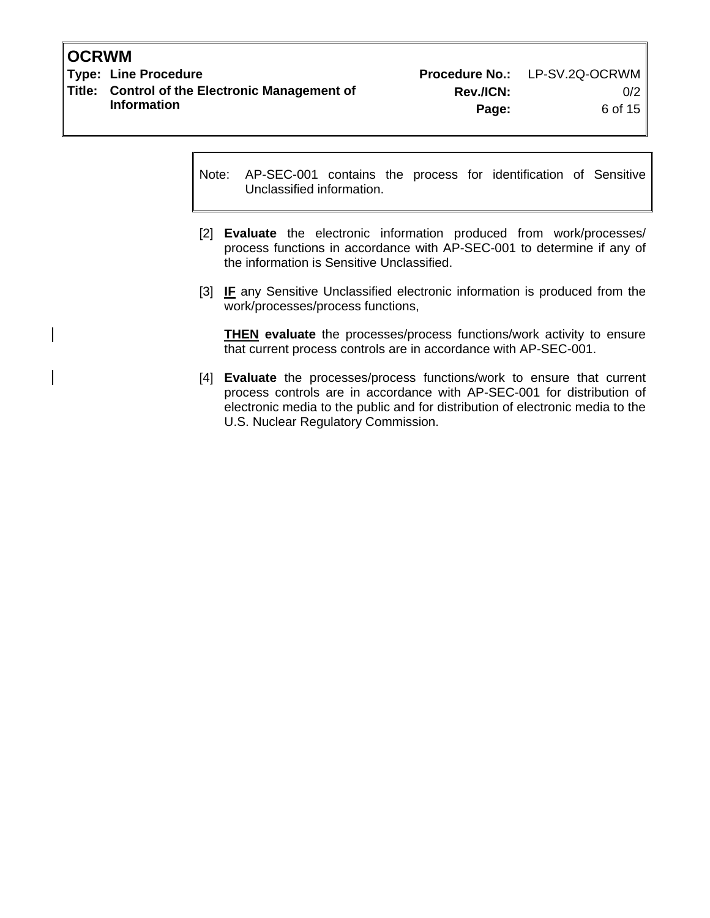**Type: Line Procedure No.: LP-SV.2Q-OCRWM Title: Control of the Electronic Management of Rev./ICN:** 0/2<br>Information **Deget Rev.** Reserve the of 15

Note: AP-SEC-001 contains the process for identification of Sensitive Unclassified information.

- [2] **Evaluate** the electronic information produced from work/processes/ process functions in accordance with AP-SEC-001 to determine if any of the information is Sensitive Unclassified.
- [3] **IF** any Sensitive Unclassified electronic information is produced from the work/processes/process functions,

**THEN evaluate** the processes/process functions/work activity to ensure that current process controls are in accordance with AP-SEC-001.

[4] **Evaluate** the processes/process functions/work to ensure that current process controls are in accordance with AP-SEC-001 for distribution of electronic media to the public and for distribution of electronic media to the U.S. Nuclear Regulatory Commission.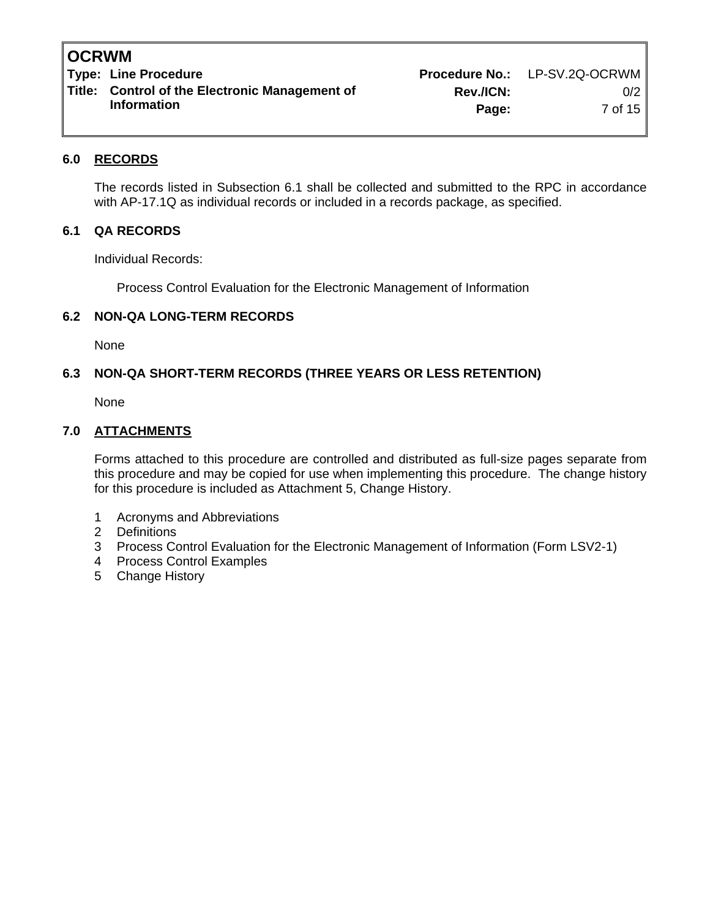**Type: Line Procedure No.: LP-SV.2Q-OCRWM Title: Control of the Electronic Management of Rev./ICN:** 0/2<br>Information **Degay** 7 of 15

**Information 2018 12:33 The Page:** 2 Of 15

# **6.0 RECORDS**

The records listed in Subsection 6.1 shall be collected and submitted to the RPC in accordance with AP-17.1Q as individual records or included in a records package, as specified.

## **6.1 QA RECORDS**

Individual Records:

Process Control Evaluation for the Electronic Management of Information

## **6.2 NON-QA LONG-TERM RECORDS**

None

## **6.3 NON-QA SHORT-TERM RECORDS (THREE YEARS OR LESS RETENTION)**

None

## **7.0 ATTACHMENTS**

Forms attached to this procedure are controlled and distributed as full-size pages separate from this procedure and may be copied for use when implementing this procedure. The change history for this procedure is included as Attachment 5, Change History.

- 1 Acronyms and Abbreviations
- 2 Definitions
- 3 Process Control Evaluation for the Electronic Management of Information (Form LSV2-1)
- 4 Process Control Examples
- 5 Change History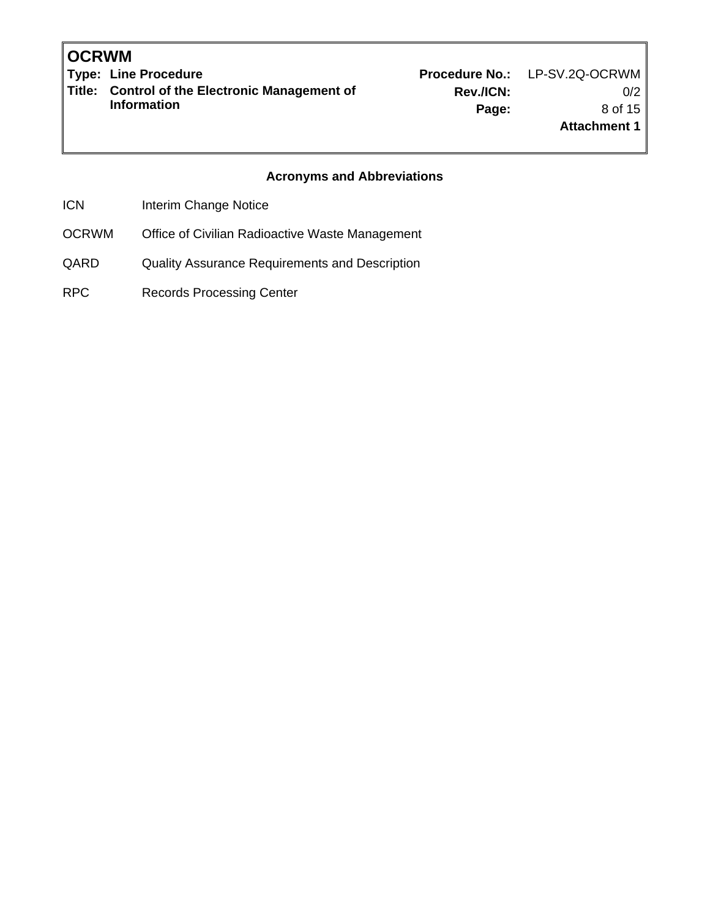Type: Line Procedure **Procedure Act 2018** Procedure No.: LP-SV.2Q-OCRWM **Title: Control of the Electronic Management of Information** 

**Rev./ICN:** 0/2 **Page:** 8 of 15 **Attachment 1**

# **Acronyms and Abbreviations**

ICN Interim Change Notice

- OCRWM Office of Civilian Radioactive Waste Management
- QARD Quality Assurance Requirements and Description
- RPC Records Processing Center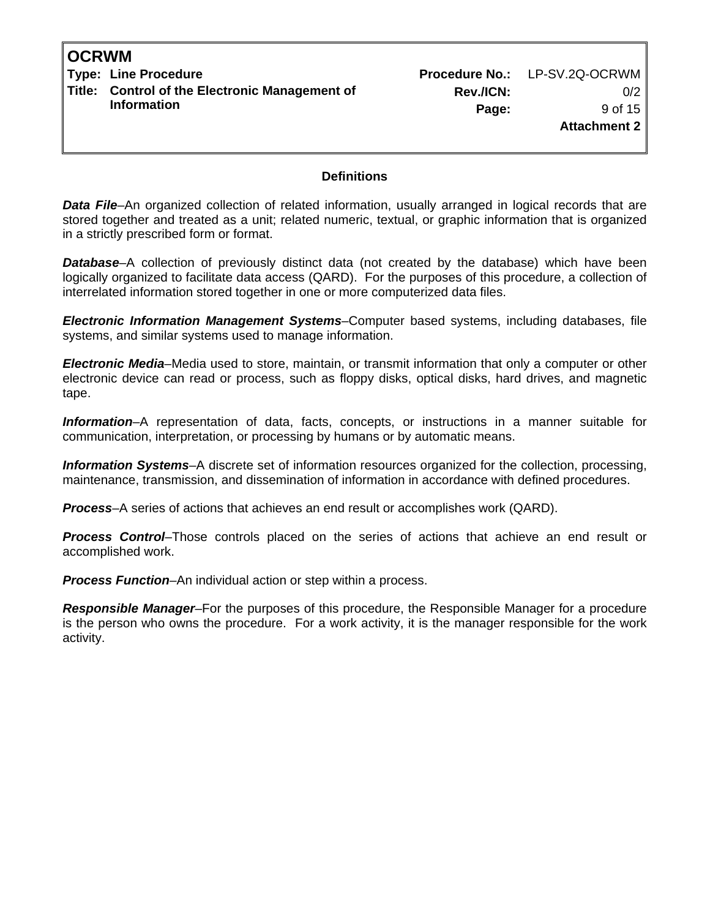**Type: Line Procedure No.: LP-SV.2Q-OCRWM Title: Control of the Electronic Management of Information** 

## **Definitions**

**Data File**–An organized collection of related information, usually arranged in logical records that are stored together and treated as a unit; related numeric, textual, or graphic information that is organized in a strictly prescribed form or format.

*Database*–A collection of previously distinct data (not created by the database) which have been logically organized to facilitate data access (QARD). For the purposes of this procedure, a collection of interrelated information stored together in one or more computerized data files.

*Electronic Information Management Systems*–Computer based systems, including databases, file systems, and similar systems used to manage information.

*Electronic Media*–Media used to store, maintain, or transmit information that only a computer or other electronic device can read or process, such as floppy disks, optical disks, hard drives, and magnetic tape.

*Information*–A representation of data, facts, concepts, or instructions in a manner suitable for communication, interpretation, or processing by humans or by automatic means.

*Information Systems*–A discrete set of information resources organized for the collection, processing, maintenance, transmission, and dissemination of information in accordance with defined procedures.

*Process*–A series of actions that achieves an end result or accomplishes work (QARD).

**Process Control–**Those controls placed on the series of actions that achieve an end result or accomplished work.

*Process Function*–An individual action or step within a process.

*Responsible Manager*–For the purposes of this procedure, the Responsible Manager for a procedure is the person who owns the procedure. For a work activity, it is the manager responsible for the work activity.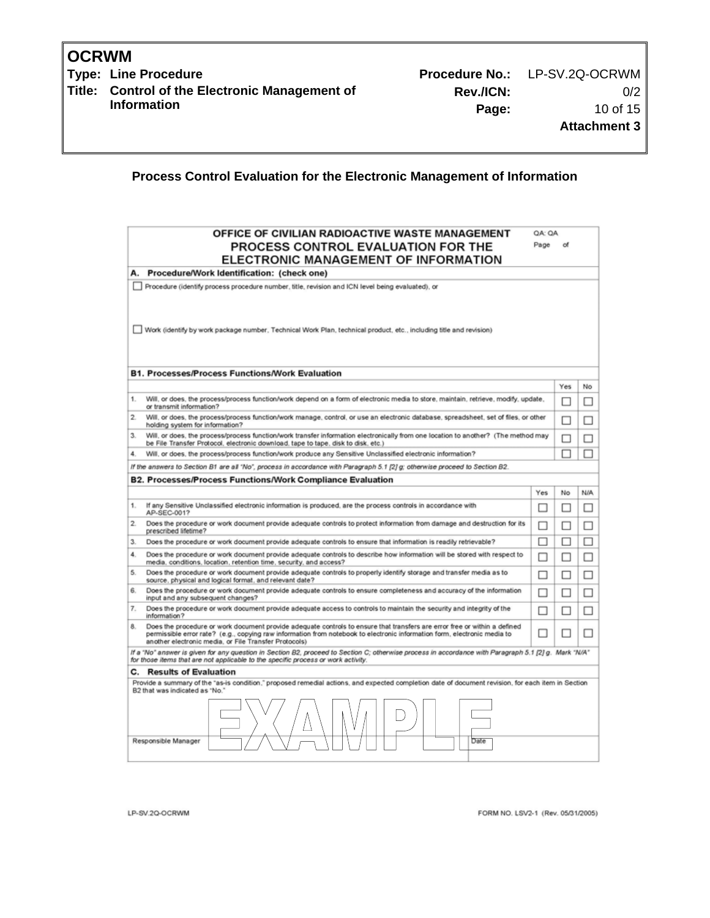Type: Line Procedure **Procedure Act 2018** Procedure No.: LP-SV.2Q-OCRWM **Title: Control of the Electronic Management of Information** 

# **Process Control Evaluation for the Electronic Management of Information**

|                                                                                                                                                                                           | OFFICE OF CIVILIAN RADIOACTIVE WASTE MANAGEMENT                                                                                                                                                                                                                                                                | QA: QA<br>Page |     |     |
|-------------------------------------------------------------------------------------------------------------------------------------------------------------------------------------------|----------------------------------------------------------------------------------------------------------------------------------------------------------------------------------------------------------------------------------------------------------------------------------------------------------------|----------------|-----|-----|
|                                                                                                                                                                                           | PROCESS CONTROL EVALUATION FOR THE<br>ELECTRONIC MANAGEMENT OF INFORMATION                                                                                                                                                                                                                                     |                |     |     |
| А.                                                                                                                                                                                        | Procedure/Work Identification: (check one)                                                                                                                                                                                                                                                                     |                |     |     |
|                                                                                                                                                                                           | Procedure (identify process procedure number, title, revision and ICN level being evaluated), or                                                                                                                                                                                                               |                |     |     |
|                                                                                                                                                                                           | Work (identify by work package number, Technical Work Plan, technical product, etc., including title and revision)                                                                                                                                                                                             |                |     |     |
|                                                                                                                                                                                           | <b>B1. Processes/Process Functions/Work Evaluation</b>                                                                                                                                                                                                                                                         |                |     |     |
|                                                                                                                                                                                           |                                                                                                                                                                                                                                                                                                                |                | Yes | No  |
| 1.                                                                                                                                                                                        | Will, or does, the process/process function/work depend on a form of electronic media to store, maintain, retrieve, modify, update,<br>or transmit information?                                                                                                                                                |                |     | П   |
| $\overline{2}$<br>Will, or does, the process/process function/work manage, control, or use an electronic database, spreadsheet, set of files, or other<br>holding system for information? |                                                                                                                                                                                                                                                                                                                |                |     | П   |
| 3.                                                                                                                                                                                        | Will, or does, the process/process function/work transfer information electronically from one location to another? (The method may<br>be File Transfer Protocol, electronic download, tape to tape, disk to disk, etc.)                                                                                        |                |     | П   |
|                                                                                                                                                                                           | Will, or does, the process/process function/work produce any Sensitive Unclassified electronic information?                                                                                                                                                                                                    |                |     | п   |
|                                                                                                                                                                                           | If the answers to Section B1 are all "No", process in accordance with Paragraph 5.1 [2] g; otherwise proceed to Section B2.                                                                                                                                                                                    |                |     |     |
|                                                                                                                                                                                           | B2. Processes/Process Functions/Work Compliance Evaluation                                                                                                                                                                                                                                                     |                |     |     |
|                                                                                                                                                                                           |                                                                                                                                                                                                                                                                                                                | Yes            | No  | N/A |
| 1.                                                                                                                                                                                        | If any Sensitive Unclassified electronic information is produced, are the process controls in accordance with<br>AP-SEC-001?                                                                                                                                                                                   | П              | ш   | П   |
| $\overline{2}$                                                                                                                                                                            | Does the procedure or work document provide adequate controls to protect information from damage and destruction for its<br>prescribed lifetime?                                                                                                                                                               | п              | п   | П   |
| З.                                                                                                                                                                                        | Does the procedure or work document provide adequate controls to ensure that information is readily retrievable?                                                                                                                                                                                               | п              | □   | □   |
| 4.                                                                                                                                                                                        | Does the procedure or work document provide adequate controls to describe how information will be stored with respect to<br>media, conditions, location, retention time, security, and access?                                                                                                                 | □              | П   | □   |
| 5.                                                                                                                                                                                        | Does the procedure or work document provide adequate controls to properly identify storage and transfer media as to<br>source, physical and logical format, and relevant date?                                                                                                                                 | п              | □   | П   |
| 6.                                                                                                                                                                                        | Does the procedure or work document provide adequate controls to ensure completeness and accuracy of the information<br>input and any subsequent changes?                                                                                                                                                      |                | ш   | ш   |
| 7.                                                                                                                                                                                        | Does the procedure or work document provide adequate access to controls to maintain the security and integrity of the<br>information?                                                                                                                                                                          |                | П   | П   |
| 8.                                                                                                                                                                                        | Does the procedure or work document provide adequate controls to ensure that transfers are error free or within a defined<br>permissible error rate? (e.g., copying raw information from notebook to electronic information form, electronic media to<br>another electronic media, or File Transfer Protocols) | П              |     | П   |
|                                                                                                                                                                                           | If a "No" answer is given for any question in Section B2, proceed to Section C; otherwise process in accordance with Paragraph 5.1 [2] g. Mark "N/A"<br>for those items that are not applicable to the specific process or work activity.                                                                      |                |     |     |
| C.                                                                                                                                                                                        | <b>Results of Evaluation</b>                                                                                                                                                                                                                                                                                   |                |     |     |
|                                                                                                                                                                                           | Provide a summary of the "as-is condition," proposed remedial actions, and expected completion date of document revision, for each item in Section<br>B2 that was indicated as "No."                                                                                                                           |                |     |     |
|                                                                                                                                                                                           |                                                                                                                                                                                                                                                                                                                |                |     |     |
|                                                                                                                                                                                           | Responsible Manager<br>Date                                                                                                                                                                                                                                                                                    |                |     |     |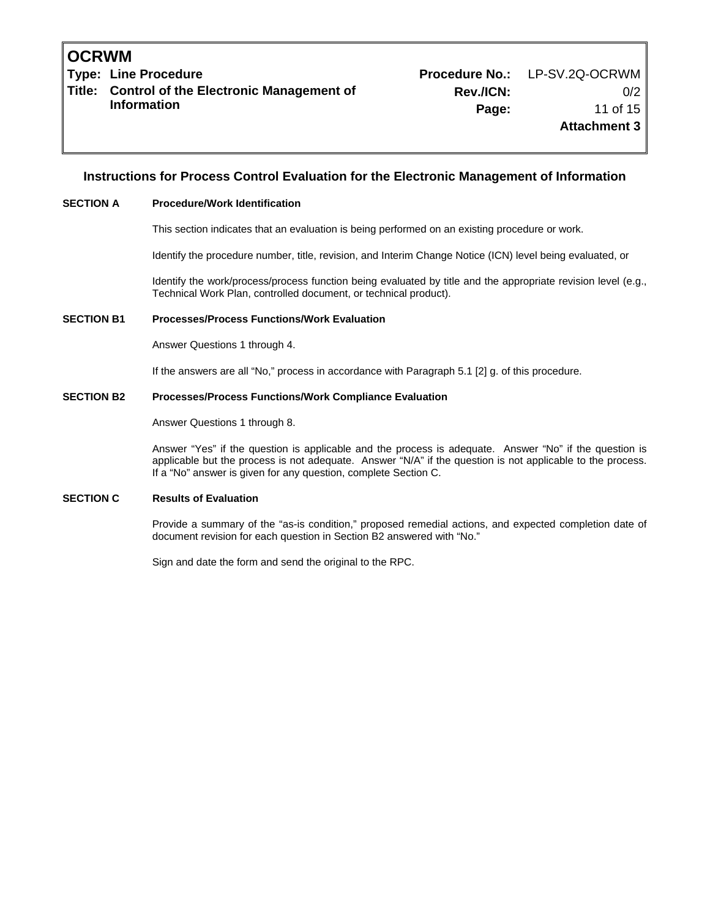**Type: Line Procedure Procedure No.:** LP-SV.2Q-OCRWM **Title: Control of the Electronic Management of Information** 

#### **Instructions for Process Control Evaluation for the Electronic Management of Information**

#### **SECTION A Procedure/Work Identification**

This section indicates that an evaluation is being performed on an existing procedure or work.

Identify the procedure number, title, revision, and Interim Change Notice (ICN) level being evaluated, or

Identify the work/process/process function being evaluated by title and the appropriate revision level (e.g., Technical Work Plan, controlled document, or technical product).

#### **SECTION B1 Processes/Process Functions/Work Evaluation**

Answer Questions 1 through 4.

If the answers are all "No," process in accordance with Paragraph 5.1 [2] g. of this procedure.

#### **SECTION B2 Processes/Process Functions/Work Compliance Evaluation**

Answer Questions 1 through 8.

Answer "Yes" if the question is applicable and the process is adequate. Answer "No" if the question is applicable but the process is not adequate. Answer "N/A" if the question is not applicable to the process. If a "No" answer is given for any question, complete Section C.

#### **SECTION C Results of Evaluation**

Provide a summary of the "as-is condition," proposed remedial actions, and expected completion date of document revision for each question in Section B2 answered with "No."

Sign and date the form and send the original to the RPC.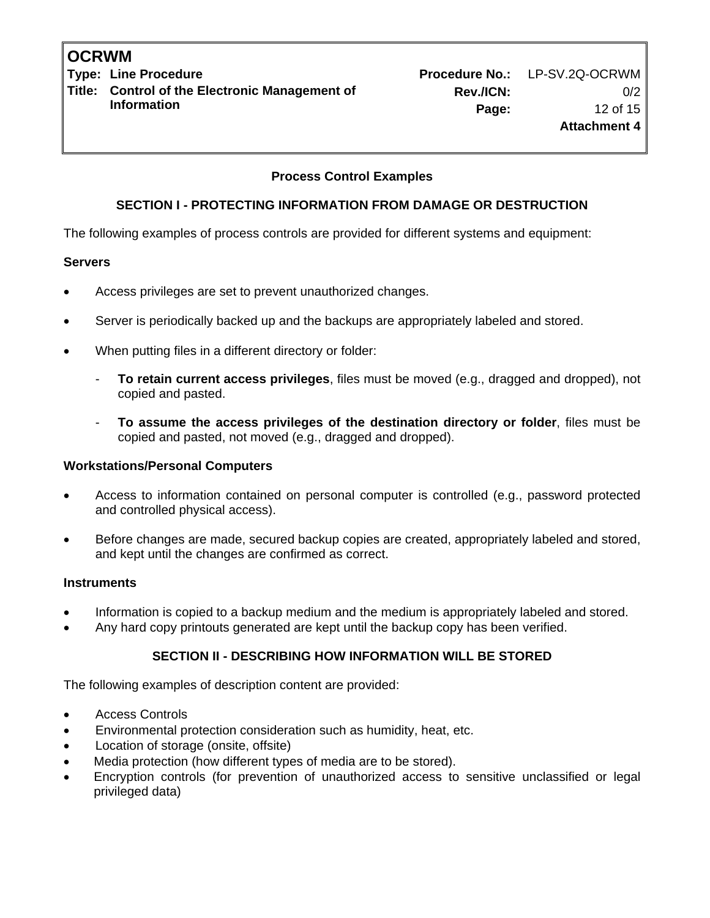**Type: Line Procedure No.: LP-SV.2Q-OCRWM Title: Control of the Electronic Management of Information** 

# **Process Control Examples**

## **SECTION I - PROTECTING INFORMATION FROM DAMAGE OR DESTRUCTION**

The following examples of process controls are provided for different systems and equipment:

## **Servers**

- Access privileges are set to prevent unauthorized changes.
- Server is periodically backed up and the backups are appropriately labeled and stored.
- When putting files in a different directory or folder:
	- **To retain current access privileges**, files must be moved (e.g., dragged and dropped), not copied and pasted.
	- **To assume the access privileges of the destination directory or folder**, files must be copied and pasted, not moved (e.g., dragged and dropped).

#### **Workstations/Personal Computers**

- Access to information contained on personal computer is controlled (e.g., password protected and controlled physical access).
- Before changes are made, secured backup copies are created, appropriately labeled and stored, and kept until the changes are confirmed as correct.

#### **Instruments**

- Information is copied to a backup medium and the medium is appropriately labeled and stored.
- Any hard copy printouts generated are kept until the backup copy has been verified.

## **SECTION II - DESCRIBING HOW INFORMATION WILL BE STORED**

The following examples of description content are provided:

- Access Controls
- Environmental protection consideration such as humidity, heat, etc.
- Location of storage (onsite, offsite)
- Media protection (how different types of media are to be stored).
- Encryption controls (for prevention of unauthorized access to sensitive unclassified or legal privileged data)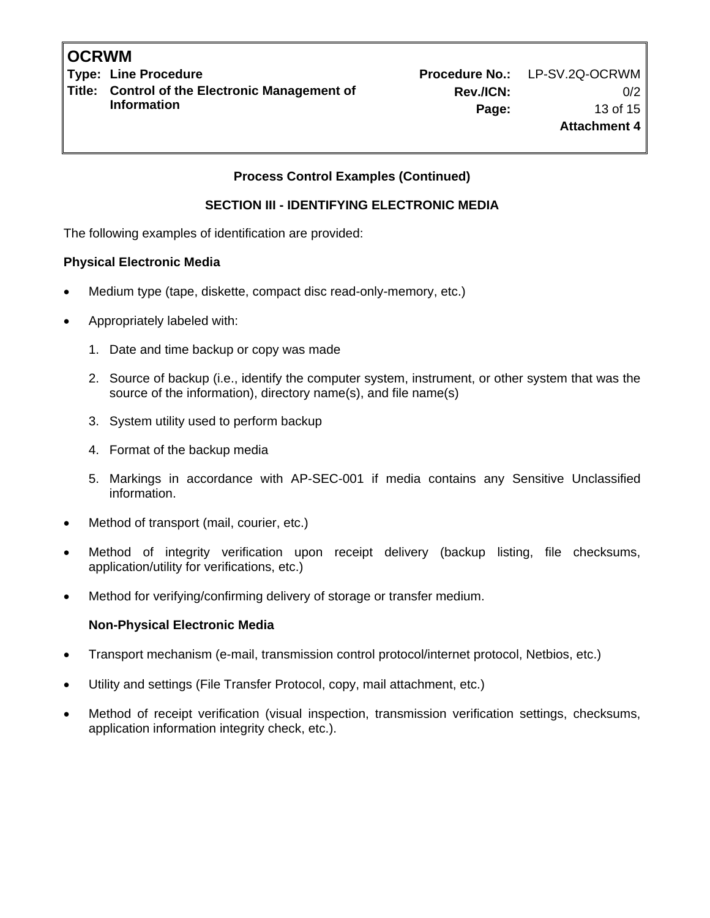**Type: Line Procedure Procedure No.:** LP-SV.2Q-OCRWM **Title: Control of the Electronic Management of Information** 

# **Process Control Examples (Continued)**

## **SECTION III - IDENTIFYING ELECTRONIC MEDIA**

The following examples of identification are provided:

## **Physical Electronic Media**

- Medium type (tape, diskette, compact disc read-only-memory, etc.)
- Appropriately labeled with:
	- 1. Date and time backup or copy was made
	- 2. Source of backup (i.e., identify the computer system, instrument, or other system that was the source of the information), directory name(s), and file name(s)
	- 3. System utility used to perform backup
	- 4. Format of the backup media
	- 5. Markings in accordance with AP-SEC-001 if media contains any Sensitive Unclassified information.
- Method of transport (mail, courier, etc.)
- Method of integrity verification upon receipt delivery (backup listing, file checksums, application/utility for verifications, etc.)
- Method for verifying/confirming delivery of storage or transfer medium.

## **Non-Physical Electronic Media**

- Transport mechanism (e-mail, transmission control protocol/internet protocol, Netbios, etc.)
- Utility and settings (File Transfer Protocol, copy, mail attachment, etc.)
- Method of receipt verification (visual inspection, transmission verification settings, checksums, application information integrity check, etc.).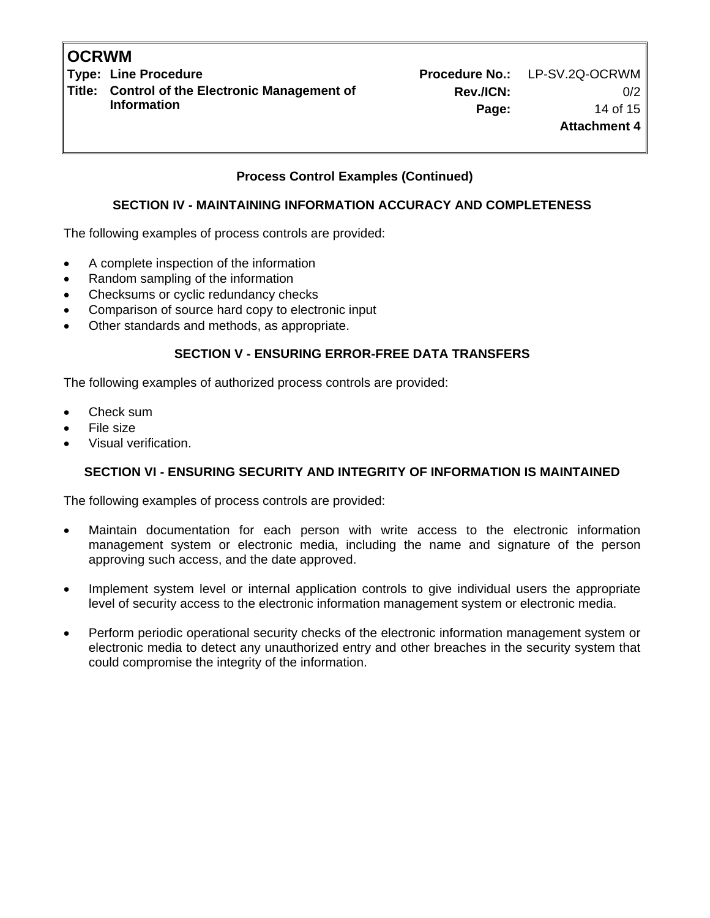**Title: Control of the Electronic Management of Information** 

**Type: Line Procedure No.: LP-SV.2Q-OCRWM Rev./ICN:** 0/2 **Page:** 14 of 15 **Attachment 4**

**Process Control Examples (Continued)** 

# **SECTION IV - MAINTAINING INFORMATION ACCURACY AND COMPLETENESS**

The following examples of process controls are provided:

- A complete inspection of the information
- Random sampling of the information
- Checksums or cyclic redundancy checks
- Comparison of source hard copy to electronic input
- Other standards and methods, as appropriate.

# **SECTION V - ENSURING ERROR-FREE DATA TRANSFERS**

The following examples of authorized process controls are provided:

- Check sum
- File size
- Visual verification.

# **SECTION VI - ENSURING SECURITY AND INTEGRITY OF INFORMATION IS MAINTAINED**

The following examples of process controls are provided:

- Maintain documentation for each person with write access to the electronic information management system or electronic media, including the name and signature of the person approving such access, and the date approved.
- Implement system level or internal application controls to give individual users the appropriate level of security access to the electronic information management system or electronic media.
- Perform periodic operational security checks of the electronic information management system or electronic media to detect any unauthorized entry and other breaches in the security system that could compromise the integrity of the information.